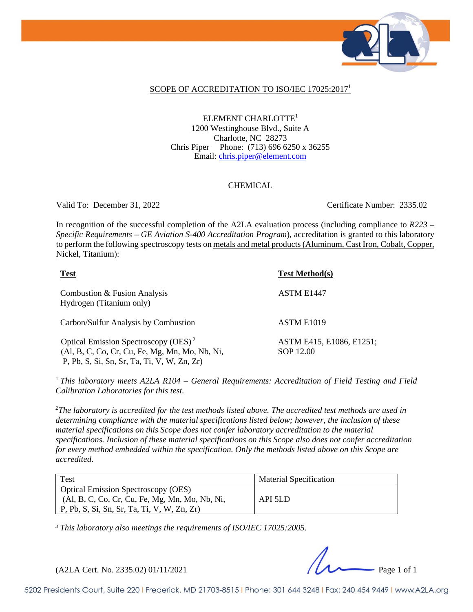

#### SCOPE OF ACCREDITATION TO ISO/IEC 17025:2017<sup>1</sup>

ELEMENT CHARLOTTE<sup>1</sup> 1200 Westinghouse Blvd., Suite A Charlotte, NC 28273 Chris Piper Phone: (713) 696 6250 x 36255 Email: chris.piper@element.com

#### CHEMICAL

Valid To: December 31, 2022 Certificate Number: 2335.02

In recognition of the successful completion of the A2LA evaluation process (including compliance to *R223 – Specific Requirements – GE Aviation S-400 Accreditation Program*), accreditation is granted to this laboratory to perform the following spectroscopy tests on metals and metal products (Aluminum, Cast Iron, Cobalt, Copper, Nickel, Titanium):

| <b>Test</b>                                                                                                                                       | <b>Test Method(s)</b>                 |
|---------------------------------------------------------------------------------------------------------------------------------------------------|---------------------------------------|
| Combustion & Fusion Analysis<br>Hydrogen (Titanium only)                                                                                          | ASTM E1447                            |
| Carbon/Sulfur Analysis by Combustion                                                                                                              | ASTM E1019                            |
| Optical Emission Spectroscopy (OES) <sup>2</sup><br>(Al, B, C, Co, Cr, Cu, Fe, Mg, Mn, Mo, Nb, Ni,<br>P, Pb, S, Si, Sn, Sr, Ta, Ti, V, W, Zn, Zr) | ASTM E415, E1086, E1251;<br>SOP 12.00 |

<sup>1</sup> *This laboratory meets A2LA R104 – General Requirements: Accreditation of Field Testing and Field Calibration Laboratories for this test.* 

*2 The laboratory is accredited for the test methods listed above. The accredited test methods are used in determining compliance with the material specifications listed below; however, the inclusion of these material specifications on this Scope does not confer laboratory accreditation to the material specifications. Inclusion of these material specifications on this Scope also does not confer accreditation for every method embedded within the specification. Only the methods listed above on this Scope are accredited*.

| Test                                                                                                                                                | <b>Material Specification</b> |
|-----------------------------------------------------------------------------------------------------------------------------------------------------|-------------------------------|
| <b>Optical Emission Spectroscopy (OES)</b><br>(Al, B, C, Co, Cr, Cu, Fe, Mg, Mn, Mo, Nb, Ni,<br>$\vert$ P, Pb, S, Si, Sn, Sr, Ta, Ti, V, W, Zn, Zr) | API 5LD                       |

*<sup>3</sup> This laboratory also meetings the requirements of ISO/IEC 17025:2005.*

(A2LA Cert. No. 2335.02) 01/11/2021 Page 1 of 1